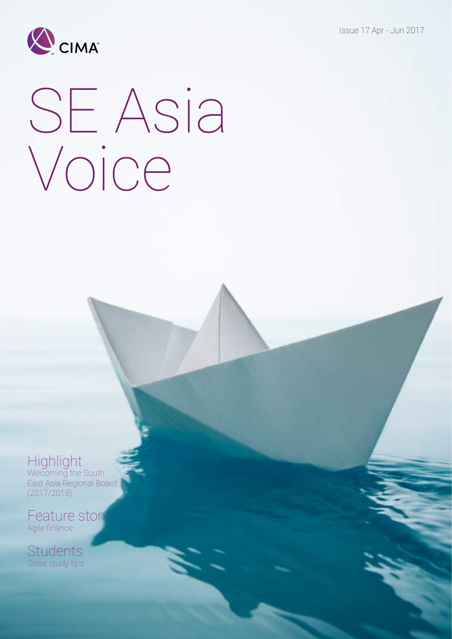Issue 17 Apr - Jun 2017



# SE Asia Voice

### Highlight

Welcoming the South East Asia Regional Board (2017/2018)

Feature story Agile finance

Students Great study tips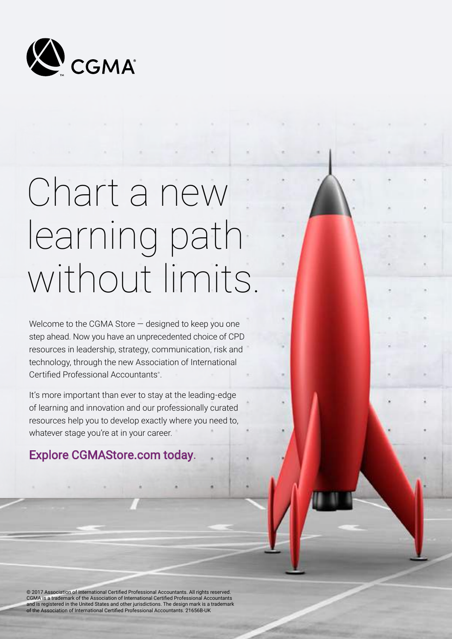

## Chart a new learning path without limits.

Welcome to the CGMA Store — designed to keep you one step ahead. Now you have an unprecedented choice of CPD resources in leadership, strategy, communication, risk and technology, through the new Association of International Certified Professional Accountants® .

It's more important than ever to stay at the leading-edge of learning and innovation and our professionally curated resources help you to develop exactly where you need to, whatever stage you're at in your career.

### Explore CGMAStore.com today.

© 2017 Association of International Certified Professional Accountants. All rights reserved. CGMA is a trademark of the Association of International Certified Professional Accountants and is registered in the United States and other jurisdictions. The design mark is a trademark of the Association of International Certified Professional Accountants. 21656B-UK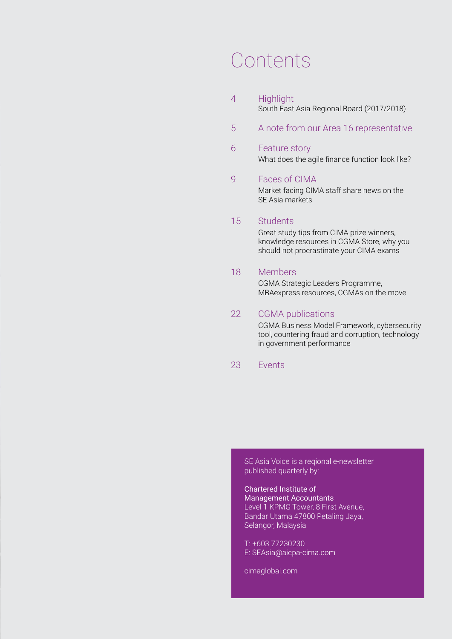### Contents

- 4 Highlight South East Asia Regional Board (2017/2018)
- 5 A note from our Area 16 representative

### 6 Feature story What does the agile finance function look like?

### 9 Faces of CIMA

Market facing CIMA staff share news on the SE Asia markets

### 15 Students

Great study tips from CIMA prize winners, knowledge resources in CGMA Store, why you should not procrastinate your CIMA exams

### 18 Members

CGMA Strategic Leaders Programme, MBAexpress resources, CGMAs on the move

### 22 CGMA publications

CGMA Business Model Framework, cybersecurity tool, countering fraud and corruption, technology in government performance

### 23 Events

SE Asia Voice is a reqional e-newsletter published quarterly by:

#### Chartered Institute of Management Accountants

Level 1 KPMG Tower, 8 First Avenue, Bandar Utama 47800 Petaling Jaya, Selangor, Malaysia

T: +603 77230230 E: SEAsia@aicpa-cima.com

cimaglobal.com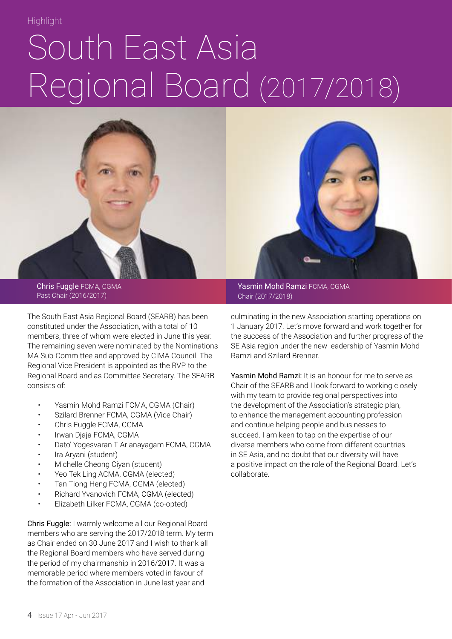## South East Asia Regional Board (2017/2018)



Chris Fuggle FCMA, CGMA Past Chair (2016/2017)

The South East Asia Regional Board (SEARB) has been constituted under the Association, with a total of 10 members, three of whom were elected in June this year. The remaining seven were nominated by the Nominations MA Sub-Committee and approved by CIMA Council. The Regional Vice President is appointed as the RVP to the Regional Board and as Committee Secretary. The SEARB consists of:

- Yasmin Mohd Ramzi FCMA, CGMA (Chair)
- Szilard Brenner FCMA, CGMA (Vice Chair)
- Chris Fuggle FCMA, CGMA
- Irwan Djaja FCMA, CGMA
- Dato' Yogesvaran T Arianayagam FCMA, CGMA
- Ira Aryani (student)
- Michelle Cheong Ciyan (student)
- Yeo Tek Ling ACMA, CGMA (elected)
- Tan Tiong Heng FCMA, CGMA (elected)
- Richard Yvanovich FCMA, CGMA (elected)
- Elizabeth Lilker FCMA, CGMA (co-opted)

Chris Fuggle: I warmly welcome all our Regional Board members who are serving the 2017/2018 term. My term as Chair ended on 30 June 2017 and I wish to thank all the Regional Board members who have served during the period of my chairmanship in 2016/2017. It was a memorable period where members voted in favour of the formation of the Association in June last year and

Yasmin Mohd Ramzi FCMA, CGMA Chair (2017/2018)

culminating in the new Association starting operations on 1 January 2017. Let's move forward and work together for the success of the Association and further progress of the SE Asia region under the new leadership of Yasmin Mohd Ramzi and Szilard Brenner.

Yasmin Mohd Ramzi: It is an honour for me to serve as Chair of the SEARB and I look forward to working closely with my team to provide regional perspectives into the development of the Association's strategic plan, to enhance the management accounting profession and continue helping people and businesses to succeed. I am keen to tap on the expertise of our diverse members who come from different countries in SE Asia, and no doubt that our diversity will have a positive impact on the role of the Regional Board. Let's collaborate.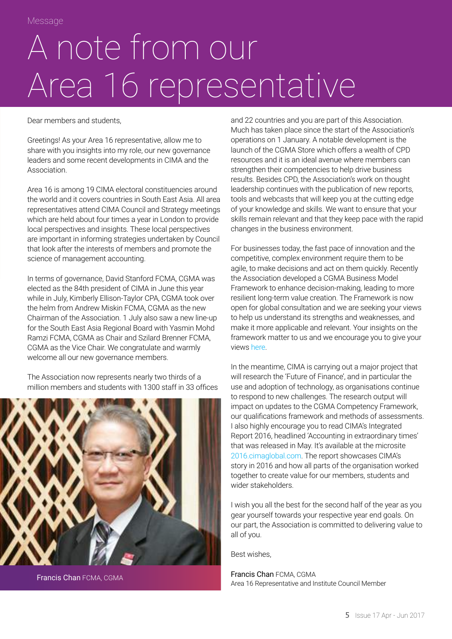## A note from our Area 16 representative

Dear members and students,

Greetings! As your Area 16 representative, allow me to share with you insights into my role, our new governance leaders and some recent developments in CIMA and the Association.

Area 16 is among 19 CIMA electoral constituencies around the world and it covers countries in South East Asia. All area representatives attend CIMA Council and Strategy meetings which are held about four times a year in London to provide local perspectives and insights. These local perspectives are important in informing strategies undertaken by Council that look after the interests of members and promote the science of management accounting.

In terms of governance, David Stanford FCMA, CGMA was elected as the 84th president of CIMA in June this year while in July, Kimberly Ellison-Taylor CPA, CGMA took over the helm from Andrew Miskin FCMA, CGMA as the new Chairman of the Association. 1 July also saw a new line-up for the South East Asia Regional Board with Yasmin Mohd Ramzi FCMA, CGMA as Chair and Szilard Brenner FCMA, CGMA as the Vice Chair. We congratulate and warmly welcome all our new governance members.

The Association now represents nearly two thirds of a million members and students with 1300 staff in 33 offices



Francis Chan FCMA, CGMA

and 22 countries and you are part of this Association. Much has taken place since the start of the Association's operations on 1 January. A notable development is the launch of the CGMA Store which offers a wealth of CPD resources and it is an ideal avenue where members can strengthen their competencies to help drive business results. Besides CPD, the Association's work on thought leadership continues with the publication of new reports, tools and webcasts that will keep you at the cutting edge of your knowledge and skills. We want to ensure that your skills remain relevant and that they keep pace with the rapid changes in the business environment.

For businesses today, the fast pace of innovation and the competitive, complex environment require them to be agile, to make decisions and act on them quickly. Recently the Association developed a CGMA Business Model Framework to enhance decision-making, leading to more resilient long-term value creation. The Framework is now open for global consultation and we are seeking your views to help us understand its strengths and weaknesses, and make it more applicable and relevant. Your insights on the framework matter to us and we encourage you to give your views [here](http://www.cgma.org/resources/reports/cgma-business-model-framework-global-consultation.html).

In the meantime, CIMA is carrying out a major project that will research the 'Future of Finance', and in particular the use and adoption of technology, as organisations continue to respond to new challenges. The research output will impact on updates to the CGMA Competency Framework, our qualifications framework and methods of assessments. I also highly encourage you to read CIMA's Integrated Report 2016, headlined 'Accounting in extraordinary times' that was released in May. It's available at the microsite [2016.cimaglobal.com.](http://2016.cimaglobal.com/) The report showcases CIMA's story in 2016 and how all parts of the organisation worked together to create value for our members, students and wider stakeholders.

I wish you all the best for the second half of the year as you gear yourself towards your respective year end goals. On our part, the Association is committed to delivering value to all of you.

Best wishes,

Francis Chan FCMA, CGMA Area 16 Representative and Institute Council Member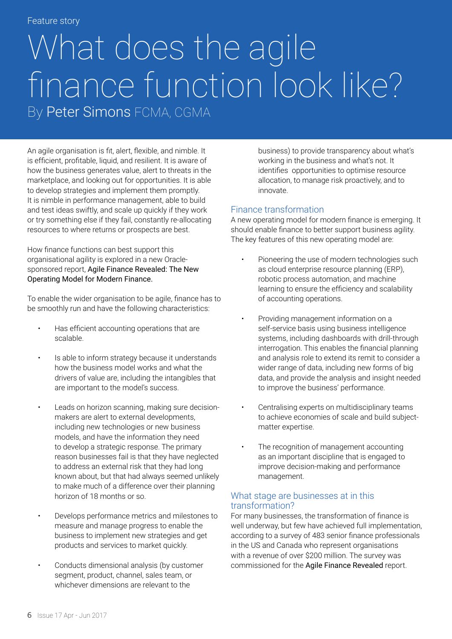### Feature story

### What does the agile finance function look like? By Peter Simons FCMA, CGMA

An agile organisation is fit, alert, flexible, and nimble. It is efficient, profitable, liquid, and resilient. It is aware of how the business generates value, alert to threats in the marketplace, and looking out for opportunities. It is able to develop strategies and implement them promptly. It is nimble in performance management, able to build and test ideas swiftly, and scale up quickly if they work or try something else if they fail, constantly re-allocating resources to where returns or prospects are best.

How finance functions can best support this organisational agility is explored in a new Oraclesponsored report, Agile Finance Revealed: The New Operating Model for Modern Finance.

To enable the wider organisation to be agile, finance has to be smoothly run and have the following characteristics:

- Has efficient accounting operations that are scalable.
- Is able to inform strategy because it understands how the business model works and what the drivers of value are, including the intangibles that are important to the model's success.
- Leads on horizon scanning, making sure decisionmakers are alert to external developments, including new technologies or new business models, and have the information they need to develop a strategic response. The primary reason businesses fail is that they have neglected to address an external risk that they had long known about, but that had always seemed unlikely to make much of a difference over their planning horizon of 18 months or so.
- Develops performance metrics and milestones to measure and manage progress to enable the business to implement new strategies and get products and services to market quickly.
- Conducts dimensional analysis (by customer segment, product, channel, sales team, or whichever dimensions are relevant to the

business) to provide transparency about what's working in the business and what's not. It identifies opportunities to optimise resource allocation, to manage risk proactively, and to innovate.

### Finance transformation

A new operating model for modern finance is emerging. It should enable finance to better support business agility. The key features of this new operating model are:

- Pioneering the use of modern technologies such as cloud enterprise resource planning (ERP), robotic process automation, and machine learning to ensure the efficiency and scalability of accounting operations.
- Providing management information on a self-service basis using business intelligence systems, including dashboards with drill-through interrogation. This enables the financial planning and analysis role to extend its remit to consider a wider range of data, including new forms of big data, and provide the analysis and insight needed to improve the business' performance.
- Centralising experts on multidisciplinary teams to achieve economies of scale and build subjectmatter expertise.
- The recognition of management accounting as an important discipline that is engaged to improve decision-making and performance management.

### What stage are businesses at in this transformation?

For many businesses, the transformation of finance is well underway, but few have achieved full implementation, according to a survey of 483 senior finance professionals in the US and Canada who represent organisations with a revenue of over \$200 million. The survey was commissioned for the Agile Finance Revealed report.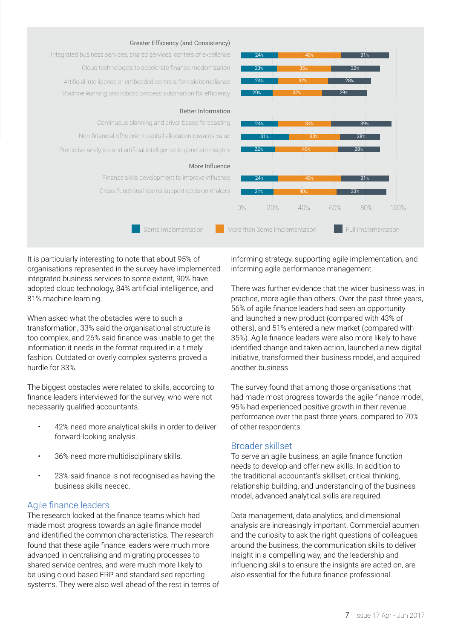

It is particularly interesting to note that about 95% of organisations represented in the survey have implemented integrated business services to some extent, 90% have adopted cloud technology, 84% artificial intelligence, and 81% machine learning.

When asked what the obstacles were to such a transformation, 33% said the organisational structure is too complex, and 26% said finance was unable to get the information it needs in the format required in a timely fashion. Outdated or overly complex systems proved a hurdle for 33%.

The biggest obstacles were related to skills, according to finance leaders interviewed for the survey, who were not necessarily qualified accountants.

- 42% need more analytical skills in order to deliver forward-looking analysis.
- 36% need more multidisciplinary skills.
- 23% said finance is not recognised as having the business skills needed.

### Agile finance leaders

The research looked at the finance teams which had made most progress towards an agile finance model and identified the common characteristics. The research found that these agile finance leaders were much more advanced in centralising and migrating processes to shared service centres, and were much more likely to be using cloud-based ERP and standardised reporting systems. They were also well ahead of the rest in terms of informing strategy, supporting agile implementation, and informing agile performance management.

There was further evidence that the wider business was, in practice, more agile than others. Over the past three years, 56% of agile finance leaders had seen an opportunity and launched a new product (compared with 43% of others), and 51% entered a new market (compared with 35%). Agile finance leaders were also more likely to have identified change and taken action, launched a new digital initiative, transformed their business model, and acquired another business.

The survey found that among those organisations that had made most progress towards the agile finance model, 95% had experienced positive growth in their revenue performance over the past three years, compared to 70% of other respondents.

### Broader skillset

To serve an agile business, an agile finance function needs to develop and offer new skills. In addition to the traditional accountant's skillset, critical thinking, relationship building, and understanding of the business model, advanced analytical skills are required.

Data management, data analytics, and dimensional analysis are increasingly important. Commercial acumen and the curiosity to ask the right questions of colleagues around the business, the communication skills to deliver insight in a compelling way, and the leadership and influencing skills to ensure the insights are acted on, are also essential for the future finance professional.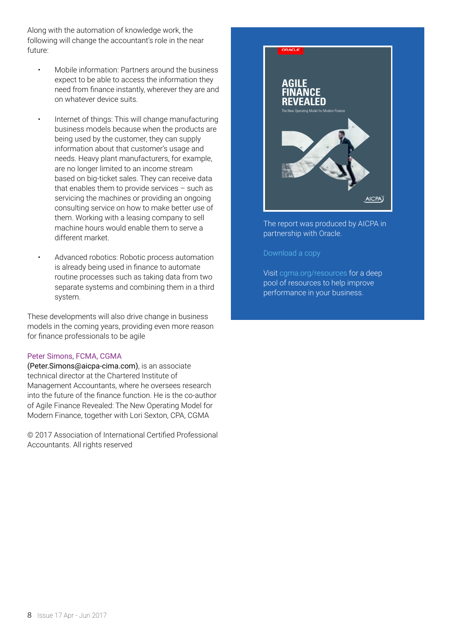Along with the automation of knowledge work, the following will change the accountant's role in the near future:

- Mobile information: Partners around the business expect to be able to access the information they need from finance instantly, wherever they are and on whatever device suits.
- Internet of things: This will change manufacturing business models because when the products are being used by the customer, they can supply information about that customer's usage and needs. Heavy plant manufacturers, for example, are no longer limited to an income stream based on big-ticket sales. They can receive data that enables them to provide services – such as servicing the machines or providing an ongoing consulting service on how to make better use of them. Working with a leasing company to sell machine hours would enable them to serve a different market.
- Advanced robotics: Robotic process automation is already being used in finance to automate routine processes such as taking data from two separate systems and combining them in a third system.

These developments will also drive change in business models in the coming years, providing even more reason for finance professionals to be agile

#### Peter Simons, FCMA, CGMA

(Peter.Simons@aicpa-cima.com), is an associate technical director at the Chartered Institute of Management Accountants, where he oversees research into the future of the finance function. He is the co-author of Agile Finance Revealed: The New Operating Model for Modern Finance, together with Lori Sexton, CPA, CGMA

© 2017 Association of International Certified Professional Accountants. All rights reserved



#### The report was produced by AICPA in partnership with Oracle.

#### [Download a copy](http://www.cgma.org/resources/reports/agile-finance-revealed-the-new-operating-model-for-modern-finance.html)

Visit [cgma.org/resources](http://www.cgma.org/resources.html) for a deep pool of resources to help improve performance in your business.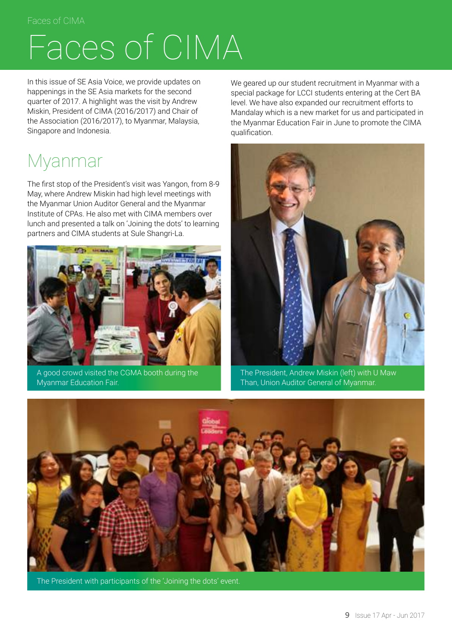### Faces of CIMA

## Faces of CIMA

In this issue of SE Asia Voice, we provide updates on happenings in the SE Asia markets for the second quarter of 2017. A highlight was the visit by Andrew Miskin, President of CIMA (2016/2017) and Chair of the Association (2016/2017), to Myanmar, Malaysia, Singapore and Indonesia.

### Myanmar

The first stop of the President's visit was Yangon, from 8-9 May, where Andrew Miskin had high level meetings with the Myanmar Union Auditor General and the Myanmar Institute of CPAs. He also met with CIMA members over lunch and presented a talk on 'Joining the dots' to learning partners and CIMA students at Sule Shangri-La.



A good crowd visited the CGMA booth during the Myanmar Education Fair.

We geared up our student recruitment in Myanmar with a special package for LCCI students entering at the Cert BA level. We have also expanded our recruitment efforts to Mandalay which is a new market for us and participated in the Myanmar Education Fair in June to promote the CIMA qualification.



The President, Andrew Miskin (left) with U Maw Than, Union Auditor General of Myanmar.



The President with participants of the 'Joining the dots' event.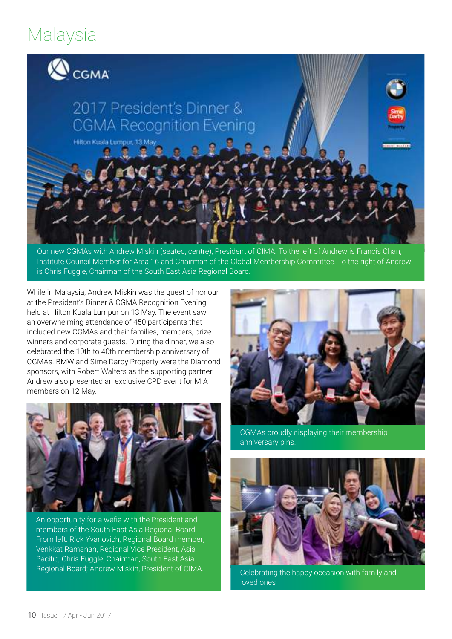### Malaysia



Our new CGMAs with Andrew Miskin (seated, centre), President of CIMA. To the left of Andrew is Francis Chan, Institute Council Member for Area 16 and Chairman of the Global Membership Committee. To the right of Andrew is Chris Fuggle, Chairman of the South East Asia Regional Board.

While in Malaysia, Andrew Miskin was the guest of honour at the President's Dinner & CGMA Recognition Evening held at Hilton Kuala Lumpur on 13 May. The event saw an overwhelming attendance of 450 participants that included new CGMAs and their families, members, prize winners and corporate guests. During the dinner, we also celebrated the 10th to 40th membership anniversary of CGMAs. BMW and Sime Darby Property were the Diamond sponsors, with Robert Walters as the supporting partner. Andrew also presented an exclusive CPD event for MIA members on 12 May.



An opportunity for a wefie with the President and members of the South East Asia Regional Board. From left: Rick Yvanovich, Regional Board member; Venkkat Ramanan, Regional Vice President, Asia Pacific; Chris Fuggle, Chairman, South East Asia Regional Board; Andrew Miskin, President of CIMA.



CGMAs proudly displaying their membership anniversary pins.



Celebrating the happy occasion with family and loved ones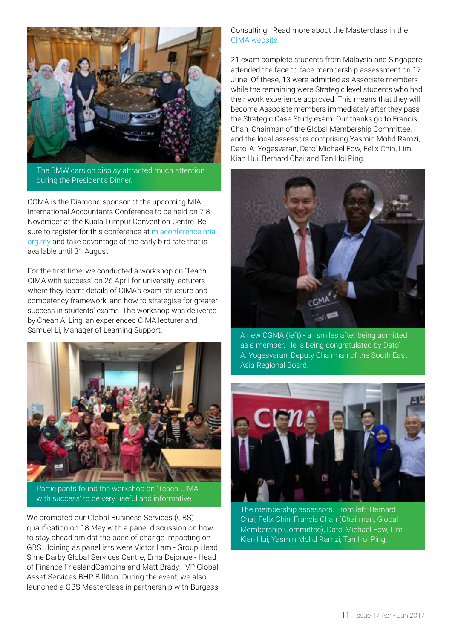

The BMW cars on display attracted much attention during the President's Dinner.

CGMA is the Diamond sponsor of the upcoming MIA International Accountants Conference to be held on 7-8 November at the Kuala Lumpur Convention Centre. Be sure to register for this conference at [miaconference.mia.](http://miaconference.mia.org.my/) [org.my](http://miaconference.mia.org.my/) and take advantage of the early bird rate that is available until 31 August.

For the first time, we conducted a workshop on 'Teach CIMA with success' on 26 April for university lecturers where they learnt details of CIMA's exam structure and competency framework, and how to strategise for greater success in students' exams. The workshop was delivered by Cheah Ai Ling, an experienced CIMA lecturer and Samuel Li, Manager of Learning Support.



Participants found the workshop on 'Teach CIMA with success' to be very useful and informative.

We promoted our Global Business Services (GBS) qualification on 18 May with a panel discussion on how to stay ahead amidst the pace of change impacting on GBS. Joining as panellists were Victor Lam - Group Head Sime Darby Global Services Centre, Erna Dejonge - Head of Finance FrieslandCampina and Matt Brady - VP Global Asset Services BHP Billiton. During the event, we also launched a GBS Masterclass in partnership with Burgess

Consulting. Read more about the Masterclass in the [CIMA website](http://www.cimaglobal.com/Our-locations/Malaysia/GBS-Masterclass/)

21 exam complete students from Malaysia and Singapore attended the face-to-face membership assessment on 17 June. Of these, 13 were admitted as Associate members while the remaining were Strategic level students who had their work experience approved. This means that they will become Associate members immediately after they pass the Strategic Case Study exam. Our thanks go to Francis Chan, Chairman of the Global Membership Committee, and the local assessors comprising Yasmin Mohd Ramzi, Dato' A. Yogesvaran, Dato' Michael Eow, Felix Chin, Lim Kian Hui, Bernard Chai and Tan Hoi Ping.



A new CGMA (left) - all smiles after being admitted as a member. He is being congratulated by Dato' A. Yogesvaran, Deputy Chairman of the South East Asia Regional Board.



The membership assessors. From left: Bernard Chai, Felix Chin, Francis Chan (Chairman, Global Membership Committee), Dato' Michael Eow, Lim Kian Hui, Yasmin Mohd Ramzi, Tan Hoi Ping.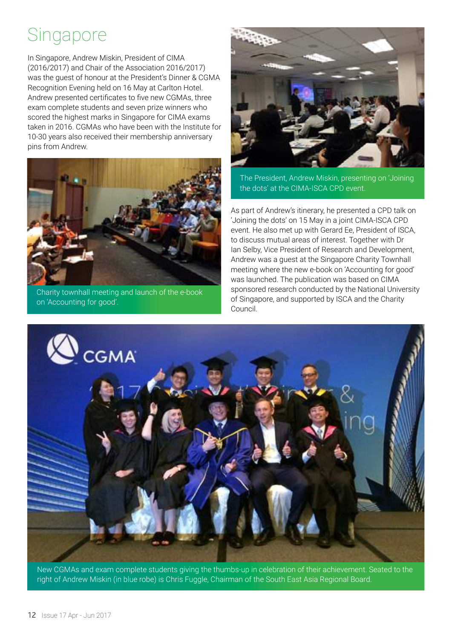### Singapore

In Singapore, Andrew Miskin, President of CIMA (2016/2017) and Chair of the Association 2016/2017) was the guest of honour at the President's Dinner & CGMA Recognition Evening held on 16 May at Carlton Hotel. Andrew presented certificates to five new CGMAs, three exam complete students and seven prize winners who scored the highest marks in Singapore for CIMA exams taken in 2016. CGMAs who have been with the Institute for 10-30 years also received their membership anniversary pins from Andrew.



Charity townhall meeting and launch of the e-book on 'Accounting for good'.



The President, Andrew Miskin, presenting on 'Joining the dots' at the CIMA-ISCA CPD event.

As part of Andrew's itinerary, he presented a CPD talk on 'Joining the dots' on 15 May in a joint CIMA-ISCA CPD event. He also met up with Gerard Ee, President of ISCA, to discuss mutual areas of interest. Together with Dr Ian Selby, Vice President of Research and Development, Andrew was a guest at the Singapore Charity Townhall meeting where the new e-book on 'Accounting for good' was launched. The publication was based on CIMA sponsored research conducted by the National University of Singapore, and supported by ISCA and the Charity Council.



New CGMAs and exam complete students giving the thumbs-up in celebration of their achievement. Seated to the right of Andrew Miskin (in blue robe) is Chris Fuggle, Chairman of the South East Asia Regional Board.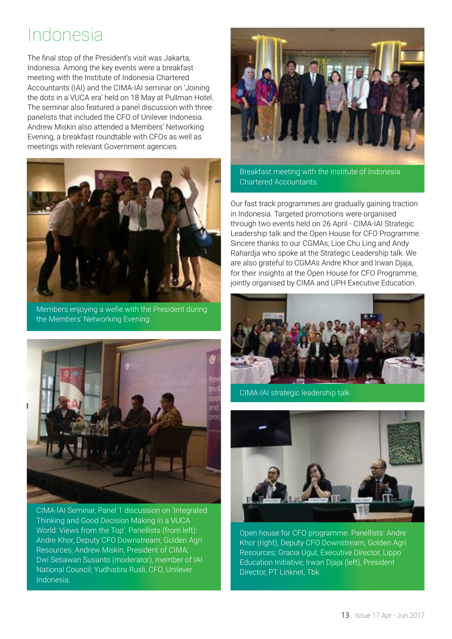### Indonesia

The final stop of the President's visit was Jakarta, Indonesia. Among the key events were a breakfast meeting with the Institute of Indonesia Chartered Accountants (IAI) and the CIMA-IAI seminar on 'Joining the dots in a VUCA era' held on 18 May at Pullman Hotel. The seminar also featured a panel discussion with three panelists that included the CFO of Unilever Indonesia. Andrew Miskin also attended a Members' Networking Evening, a breakfast roundtable with CFOs as well as meetings with relevant Government agencies.



Members enjoying a wefie with the President during the Members' Networking Evening.



CIMA-IAI Seminar, Panel 1 discussion on 'Integrated Thinking and Good Decision Making in a VUCA World: Views from the Top'. Panellists (from left): Andre Khor, Deputy CFO Downstream, Golden Agri Resources; Andrew Miskin, President of CIMA; Dwi Setiawan Susanto (moderator), member of IAI National Council; Yudhistira Rusli, CFO, Unilever Indonesia.



Breakfast meeting with the Institute of Indonesia Chartered Accountants.

Our fast track programmes are gradually gaining traction in Indonesia. Targeted promotions were organised through two events held on 26 April - CIMA-IAI Strategic Leadership talk and the Open House for CFO Programme. Sincere thanks to our CGMAs, Lioe Chu Ling and Andy Rahardja who spoke at the Strategic Leadership talk. We are also grateful to CGMAs Andre Khor and Irwan Djaja, for their insights at the Open House for CFO Programme, jointly organised by CIMA and UPH Executive Education.



CIMA-IAI strategic leadership talk



Open house for CFO programme. Panellists: Andre Khor (right), Deputy CFO Downstream, Golden Agri Resources; Gracia Ugut, Executive Director, Lippo Education Initiative; Irwan Djaja (left), President Director, PT Linknet, Tbk.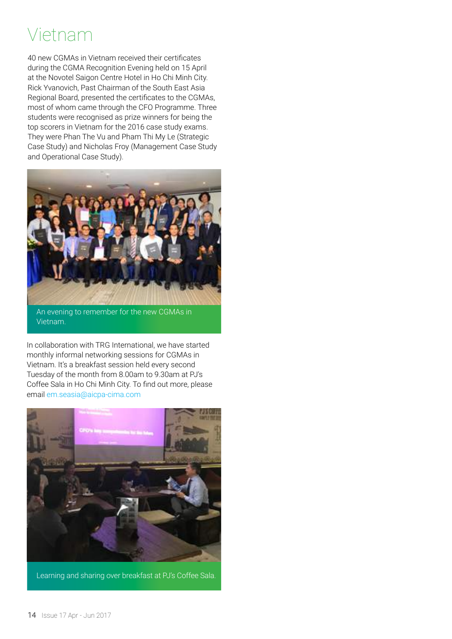### Vietnam

40 new CGMAs in Vietnam received their certificates during the CGMA Recognition Evening held on 15 April at the Novotel Saigon Centre Hotel in Ho Chi Minh City. Rick Yvanovich, Past Chairman of the South East Asia Regional Board, presented the certificates to the CGMAs, most of whom came through the CFO Programme. Three students were recognised as prize winners for being the top scorers in Vietnam for the 2016 case study exams. They were Phan The Vu and Pham Thi My Le (Strategic Case Study) and Nicholas Froy (Management Case Study and Operational Case Study).



An evening to remember for the new CGMAs in Vietnam.

In collaboration with TRG International, we have started monthly informal networking sessions for CGMAs in Vietnam. It's a breakfast session held every second Tuesday of the month from 8.00am to 9.30am at PJ's Coffee Sala in Ho Chi Minh City. To find out more, please email em.seasia@aicpa-cima.com



Learning and sharing over breakfast at PJ's Coffee Sala.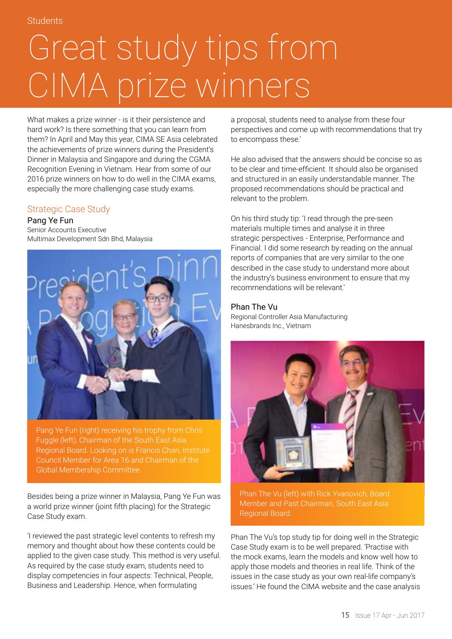## Great study tips from CIMA prize winners

What makes a prize winner - is it their persistence and hard work? Is there something that you can learn from them? In April and May this year, CIMA SE Asia celebrated the achievements of prize winners during the President's Dinner in Malaysia and Singapore and during the CGMA Recognition Evening in Vietnam. Hear from some of our 2016 prize winners on how to do well in the CIMA exams, especially the more challenging case study exams.

### Strategic Case Study

Pang Ye Fun Senior Accounts Executive Multimax Development Sdn Bhd, Malaysia



Pang Ye Fun (right) receiving his trophy from Chris Fuggle (left), Chairman of the South East Asia Regional Board. Looking on is Francis Chan, Institute Council Member for Area 16 and Chairman of the Global Membership Committee.

Besides being a prize winner in Malaysia, Pang Ye Fun was a world prize winner (joint fifth placing) for the Strategic Case Study exam.

'I reviewed the past strategic level contents to refresh my memory and thought about how these contents could be applied to the given case study. This method is very useful. As required by the case study exam, students need to display competencies in four aspects: Technical, People, Business and Leadership. Hence, when formulating

a proposal, students need to analyse from these four perspectives and come up with recommendations that try to encompass these.'

He also advised that the answers should be concise so as to be clear and time-efficient. It should also be organised and structured in an easily understandable manner. The proposed recommendations should be practical and relevant to the problem.

On his third study tip: 'I read through the pre-seen materials multiple times and analyse it in three strategic perspectives - Enterprise, Performance and Financial. I did some research by reading on the annual reports of companies that are very similar to the one described in the case study to understand more about the industry's business environment to ensure that my recommendations will be relevant.'

### Phan The Vu

Regional Controller Asia Manufacturing Hanesbrands Inc., Vietnam



Phan The Vu (left) with Rick Yvanovich, Board Member and Past Chairman, South East Asia Regional Board.

Phan The Vu's top study tip for doing well in the Strategic Case Study exam is to be well prepared. 'Practise with the mock exams, learn the models and know well how to apply those models and theories in real life. Think of the issues in the case study as your own real-life company's issues.' He found the CIMA website and the case analysis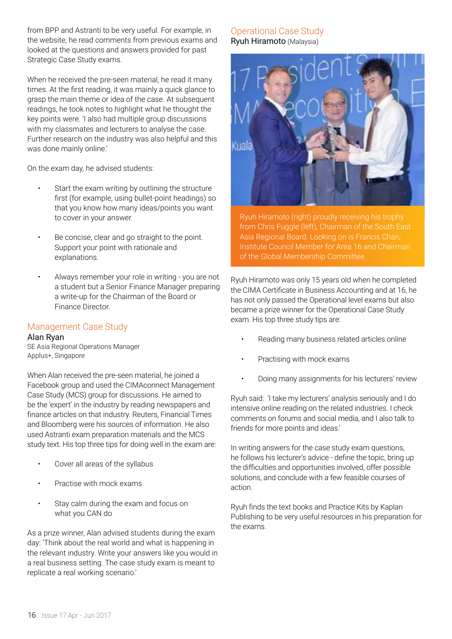from BPP and Astranti to be very useful. For example, in the website, he read comments from previous exams and looked at the questions and answers provided for past Strategic Case Study exams.

When he received the pre-seen material, he read it many times. At the first reading, it was mainly a quick glance to grasp the main theme or idea of the case. At subsequent readings, he took notes to highlight what he thought the key points were. 'I also had multiple group discussions with my classmates and lecturers to analyse the case. Further research on the industry was also helpful and this was done mainly online.'

On the exam day, he advised students:

- Start the exam writing by outlining the structure first (for example, using bullet-point headings) so that you know how many ideas/points you want to cover in your answer.
- Be concise, clear and go straight to the point. Support your point with rationale and explanations.
- Always remember your role in writing you are not a student but a Senior Finance Manager preparing a write-up for the Chairman of the Board or Finance Director.

### Management Case Study

Alan Ryan SE Asia Regional Operations Manager Applus+, Singapore

When Alan received the pre-seen material, he joined a Facebook group and used the CIMAconnect Management Case Study (MCS) group for discussions. He aimed to be the 'expert' in the industry by reading newspapers and finance articles on that industry. Reuters, Financial Times and Bloomberg were his sources of information. He also used Astranti exam preparation materials and the MCS study text. His top three tips for doing well in the exam are:

- Cover all areas of the syllabus
- Practise with mock exams
- Stay calm during the exam and focus on what you CAN do

As a prize winner, Alan advised students during the exam day: 'Think about the real world and what is happening in the relevant industry. Write your answers like you would in a real business setting. The case study exam is meant to replicate a real working scenario.'

### Operational Case Study Ryuh Hiramoto (Malaysia)



Ryuh Hiramoto (right) proudly receiving his trophy from Chris Fuggle (left), Chairman of the South East Asia Regional Board. Looking on is Francis Chan, Institute Council Member for Area 16 and Chairman of the Global Membership Committee.

Ryuh Hiramoto was only 15 years old when he completed the CIMA Certificate in Business Accounting and at 16, he has not only passed the Operational level exams but also became a prize winner for the Operational Case Study exam. His top three study tips are:

- Reading many business related articles online
- Practising with mock exams
- Doing many assignments for his lecturers' review

Ryuh said: 'I take my lecturers' analysis seriously and I do intensive online reading on the related industries. I check comments on forums and social media, and I also talk to friends for more points and ideas.'

In writing answers for the case study exam questions, he follows his lecturer's advice - define the topic, bring up the difficulties and opportunities involved, offer possible solutions, and conclude with a few feasible courses of action.

Ryuh finds the text books and Practice Kits by Kaplan Publishing to be very useful resources in his preparation for the exams.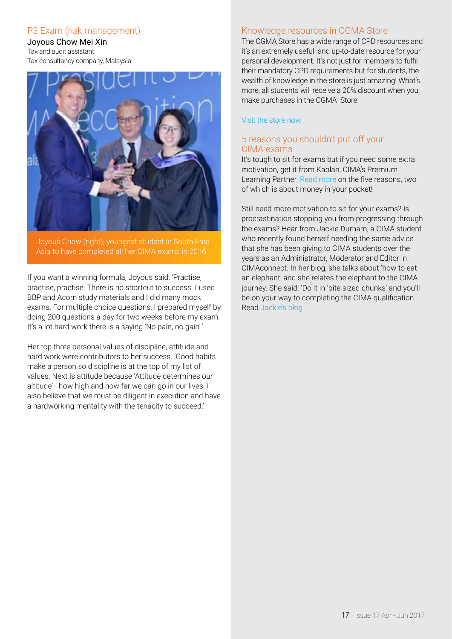### P3 Exam (risk management)

Joyous Chow Mei Xin Tax and audit assistant Tax consultancy company, Malaysia



Joyous Chow (right), youngest student in South East Asia to have completed all her CIMA exams in 2016.

If you want a winning formula, Joyous said: 'Practise, practise, practise. There is no shortcut to success. I used BBP and Acorn study materials and I did many mock exams. For multiple choice questions, I prepared myself by doing 200 questions a day for two weeks before my exam. It's a lot hard work there is a saying 'No pain, no gain'.'

Her top three personal values of discipline, attitude and hard work were contributors to her success. 'Good habits make a person so discipline is at the top of my list of values. Next is attitude because 'Attitude determines our altitude' - how high and how far we can go in our lives. I also believe that we must be diligent in execution and have a hardworking mentality with the tenacity to succeed.'

### Knowledge resources in CGMA Store

The CGMA Store has a wide range of CPD resources and it's an extremely useful and up-to-date resource for your personal development. It's not just for members to fulfil their mandatory CPD requirements but for students, the wealth of knowledge in the store is just amazing! What's more, all students will receive a 20% discount when you make purchases in the CGMA Store.

#### [Visit the store now](https://secure.cimaglobal.com/CGMA-Store/)

### [5 reasons you shouldn't put off your](https://connect.cimaglobal.com/sso/login?target=node/8124%3Futm_source%3Dcima%26utm_medium%3Demail%26utm_content%3Dconnected%26utm_campaign%3Dconnected-jun) [CIMA exams](https://connect.cimaglobal.com/sso/login?target=node/8124%3Futm_source%3Dcima%26utm_medium%3Demail%26utm_content%3Dconnected%26utm_campaign%3Dconnected-jun)

[It's tough to sit for exams but if you need some extra](https://connect.cimaglobal.com/sso/login?target=node/8124%3Futm_source%3Dcima%26utm_medium%3Demail%26utm_content%3Dconnected%26utm_campaign%3Dconnected-jun)  [motivation, get it from Kaplan, CIMA's Premium](https://connect.cimaglobal.com/sso/login?target=node/8124%3Futm_source%3Dcima%26utm_medium%3Demail%26utm_content%3Dconnected%26utm_campaign%3Dconnected-jun)  Learning Partner. Read more [on the five reasons, two](https://connect.cimaglobal.com/sso/login?target=node/8124%3Futm_source%3Dcima%26utm_medium%3Demail%26utm_content%3Dconnected%26utm_campaign%3Dconnected-jun)  [of which is about money in your pocket!](https://connect.cimaglobal.com/sso/login?target=node/8124%3Futm_source%3Dcima%26utm_medium%3Demail%26utm_content%3Dconnected%26utm_campaign%3Dconnected-jun)

[Still need more motivation to sit for your exams? Is](https://connect.cimaglobal.com/sso/login?target=node/8124%3Futm_source%3Dcima%26utm_medium%3Demail%26utm_content%3Dconnected%26utm_campaign%3Dconnected-jun)  [procrastination stopping you from progressing through](https://connect.cimaglobal.com/sso/login?target=node/8124%3Futm_source%3Dcima%26utm_medium%3Demail%26utm_content%3Dconnected%26utm_campaign%3Dconnected-jun)  [the exams? Hear from Jackie Durham, a CIMA student](https://connect.cimaglobal.com/sso/login?target=node/8124%3Futm_source%3Dcima%26utm_medium%3Demail%26utm_content%3Dconnected%26utm_campaign%3Dconnected-jun)  [who recently found herself needing the same advice](https://connect.cimaglobal.com/sso/login?target=node/8124%3Futm_source%3Dcima%26utm_medium%3Demail%26utm_content%3Dconnected%26utm_campaign%3Dconnected-jun)  [that she has been giving to CIMA students over the](https://connect.cimaglobal.com/sso/login?target=node/8124%3Futm_source%3Dcima%26utm_medium%3Demail%26utm_content%3Dconnected%26utm_campaign%3Dconnected-jun)  [years as an Administrator, Moderator and Editor in](https://connect.cimaglobal.com/sso/login?target=node/8124%3Futm_source%3Dcima%26utm_medium%3Demail%26utm_content%3Dconnected%26utm_campaign%3Dconnected-jun)  [CIMAconnect. In her blog, she talks about 'how to eat](https://connect.cimaglobal.com/sso/login?target=node/8124%3Futm_source%3Dcima%26utm_medium%3Demail%26utm_content%3Dconnected%26utm_campaign%3Dconnected-jun)  [an elephant' and she relates the elephant to the CIMA](https://connect.cimaglobal.com/sso/login?target=node/8124%3Futm_source%3Dcima%26utm_medium%3Demail%26utm_content%3Dconnected%26utm_campaign%3Dconnected-jun)  [journey. She said: 'Do it in 'bite sized chunks' and you'll](https://connect.cimaglobal.com/sso/login?target=node/8124%3Futm_source%3Dcima%26utm_medium%3Demail%26utm_content%3Dconnected%26utm_campaign%3Dconnected-jun)  [be on your way to completing the CIMA qualification.](https://connect.cimaglobal.com/sso/login?target=node/8124%3Futm_source%3Dcima%26utm_medium%3Demail%26utm_content%3Dconnected%26utm_campaign%3Dconnected-jun)  Read [Jackie's blog](https://connect.cimaglobal.com/sso/login?target=node/8124%3Futm_source%3Dcima%26utm_medium%3Demail%26utm_content%3Dconnected%26utm_campaign%3Dconnected-jun)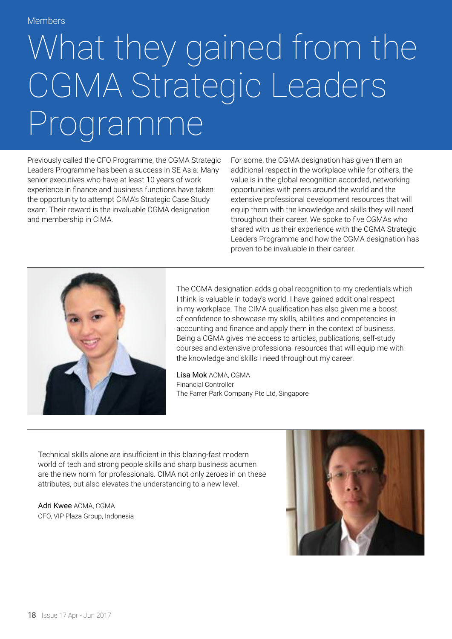## What they gained from the CGMA Strategic Leaders Programme

Previously called the CFO Programme, the CGMA Strategic Leaders Programme has been a success in SE Asia. Many senior executives who have at least 10 years of work experience in finance and business functions have taken the opportunity to attempt CIMA's Strategic Case Study exam. Their reward is the invaluable CGMA designation and membership in CIMA.

For some, the CGMA designation has given them an additional respect in the workplace while for others, the value is in the global recognition accorded, networking opportunities with peers around the world and the extensive professional development resources that will equip them with the knowledge and skills they will need throughout their career. We spoke to five CGMAs who shared with us their experience with the CGMA Strategic Leaders Programme and how the CGMA designation has proven to be invaluable in their career.



The CGMA designation adds global recognition to my credentials which I think is valuable in today's world. I have gained additional respect in my workplace. The CIMA qualification has also given me a boost of confidence to showcase my skills, abilities and competencies in accounting and finance and apply them in the context of business. Being a CGMA gives me access to articles, publications, self-study courses and extensive professional resources that will equip me with the knowledge and skills I need throughout my career.

Lisa Mok ACMA, CGMA Financial Controller The Farrer Park Company Pte Ltd, Singapore

Technical skills alone are insufficient in this blazing-fast modern world of tech and strong people skills and sharp business acumen are the new norm for professionals. CIMA not only zeroes in on these attributes, but also elevates the understanding to a new level.

Adri Kwee ACMA, CGMA CFO, VIP Plaza Group, Indonesia

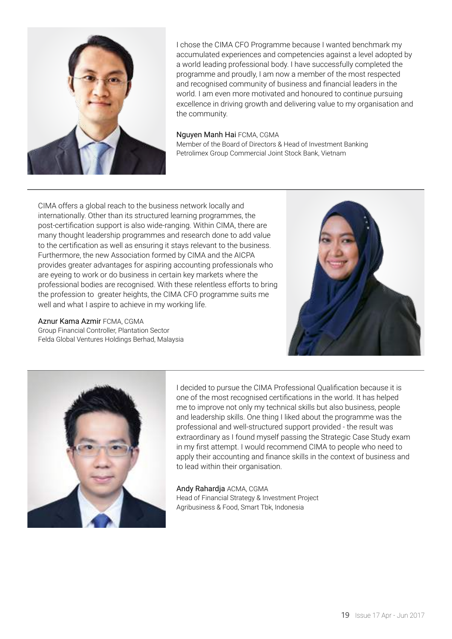

I chose the CIMA CFO Programme because I wanted benchmark my accumulated experiences and competencies against a level adopted by a world leading professional body. I have successfully completed the programme and proudly, I am now a member of the most respected and recognised community of business and financial leaders in the world. I am even more motivated and honoured to continue pursuing excellence in driving growth and delivering value to my organisation and the community.

#### Nguyen Manh Hai FCMA, CGMA

Member of the Board of Directors & Head of Investment Banking Petrolimex Group Commercial Joint Stock Bank, Vietnam

CIMA offers a global reach to the business network locally and internationally. Other than its structured learning programmes, the post-certification support is also wide-ranging. Within CIMA, there are many thought leadership programmes and research done to add value to the certification as well as ensuring it stays relevant to the business. Furthermore, the new Association formed by CIMA and the AICPA provides greater advantages for aspiring accounting professionals who are eyeing to work or do business in certain key markets where the professional bodies are recognised. With these relentless efforts to bring the profession to greater heights, the CIMA CFO programme suits me well and what I aspire to achieve in my working life.

Aznur Kama Azmir FCMA, CGMA Group Financial Controller, Plantation Sector Felda Global Ventures Holdings Berhad, Malaysia





I decided to pursue the CIMA Professional Qualification because it is one of the most recognised certifications in the world. It has helped me to improve not only my technical skills but also business, people and leadership skills. One thing I liked about the programme was the professional and well-structured support provided - the result was extraordinary as I found myself passing the Strategic Case Study exam in my first attempt. I would recommend CIMA to people who need to apply their accounting and finance skills in the context of business and to lead within their organisation.

Andy Rahardja ACMA, CGMA Head of Financial Strategy & Investment Project Agribusiness & Food, Smart Tbk, Indonesia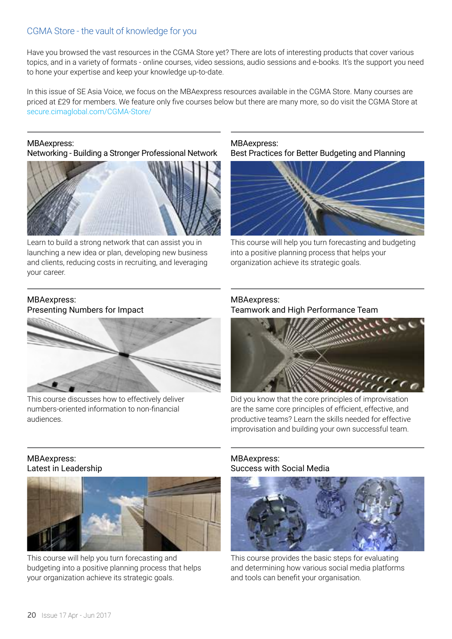### CGMA Store - the vault of knowledge for you

Have you browsed the vast resources in the CGMA Store yet? There are lots of interesting products that cover various topics, and in a variety of formats - online courses, video sessions, audio sessions and e-books. It's the support you need to hone your expertise and keep your knowledge up-to-date.

In this issue of SE Asia Voice, we focus on the MBAexpress resources available in the CGMA Store. Many courses are priced at £29 for members. We feature only five courses below but there are many more, so do visit the CGMA Store at [secure.cimaglobal.com/CGMA-Store/](https://secure.cimaglobal.com/CGMA-Store/)

MBAexpress: Networking - Building a Stronger Professional Network



Learn to build a strong network that can assist you in launching a new idea or plan, developing new business and clients, reducing costs in recruiting, and leveraging your career.

### MBAexpress: Best Practices for Better Budgeting and Planning



This course will help you turn forecasting and budgeting into a positive planning process that helps your organization achieve its strategic goals.

### MBAexpress: Presenting Numbers for Impact



This course discusses how to effectively deliver numbers-oriented information to non-financial audiences.

### MBAexpress: Teamwork and High Performance Team



Did you know that the core principles of improvisation are the same core principles of efficient, effective, and productive teams? Learn the skills needed for effective improvisation and building your own successful team.

### MBAexpress: Latest in Leadership



This course will help you turn forecasting and budgeting into a positive planning process that helps your organization achieve its strategic goals.

### MBAexpress: Success with Social Media



This course provides the basic steps for evaluating and determining how various social media platforms and tools can benefit your organisation.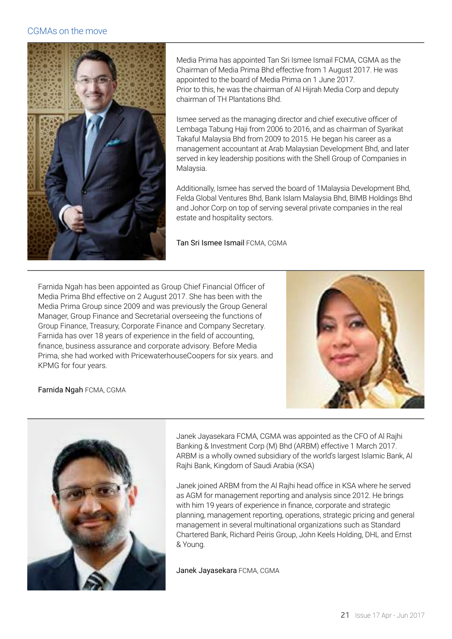### CGMAs on the move



Media Prima has appointed Tan Sri Ismee Ismail FCMA, CGMA as the Chairman of Media Prima Bhd effective from 1 August 2017. He was appointed to the board of Media Prima on 1 June 2017. Prior to this, he was the chairman of Al Hijrah Media Corp and deputy chairman of TH Plantations Bhd.

Ismee served as the managing director and chief executive officer of Lembaga Tabung Haji from 2006 to 2016, and as chairman of Syarikat Takaful Malaysia Bhd from 2009 to 2015. He began his career as a management accountant at Arab Malaysian Development Bhd, and later served in key leadership positions with the Shell Group of Companies in Malaysia.

Additionally, Ismee has served the board of 1Malaysia Development Bhd, Felda Global Ventures Bhd, Bank Islam Malaysia Bhd, BIMB Holdings Bhd and Johor Corp on top of serving several private companies in the real estate and hospitality sectors.

Tan Sri Ismee Ismail FCMA, CGMA

Farnida Ngah has been appointed as Group Chief Financial Officer of Media Prima Bhd effective on 2 August 2017. She has been with the Media Prima Group since 2009 and was previously the Group General Manager, Group Finance and Secretarial overseeing the functions of Group Finance, Treasury, Corporate Finance and Company Secretary. Farnida has over 18 years of experience in the field of accounting, finance, business assurance and corporate advisory. Before Media Prima, she had worked with PricewaterhouseCoopers for six years. and KPMG for four years.







Janek Jayasekara FCMA, CGMA was appointed as the CFO of Al Rajhi Banking & Investment Corp (M) Bhd (ARBM) effective 1 March 2017. ARBM is a wholly owned subsidiary of the world's largest Islamic Bank, Al Rajhi Bank, Kingdom of Saudi Arabia (KSA)

Janek joined ARBM from the Al Rajhi head office in KSA where he served as AGM for management reporting and analysis since 2012. He brings with him 19 years of experience in finance, corporate and strategic planning, management reporting, operations, strategic pricing and general management in several multinational organizations such as Standard Chartered Bank, Richard Peiris Group, John Keels Holding, DHL and Ernst & Young.

Janek Jayasekara FCMA, CGMA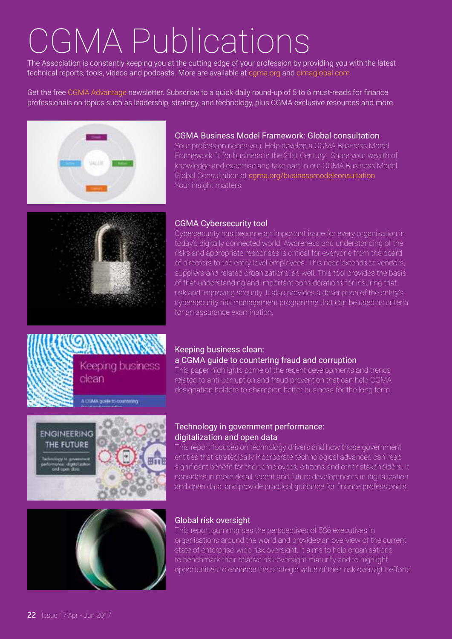## CGMA Publications

The Association is constantly keeping you at the cutting edge of your profession by providing you with the latest technical reports, tools, videos and podcasts. More are available a[t cgma.org](http://www.cgma.org/) and [cimaglobal.com](http://www.cimaglobal.com/)

Get the free [CGMA Advantage](http://www.cgma.org/magazine/newsletter.html) newsletter. Subscribe to a quick daily round-up of 5 to 6 must-reads for finance professionals on topics such as leadership, strategy, and technology, plus CGMA exclusive resources and more.



### CGMA Business Model Framework: Global consultation

Your profession needs you. Help develop a CGMA Business Model knowledge and expertise and take part in our CGMA Business Model Global Consultation at [cgma.org/businessmodelconsultation](http://www.cgma.org/resources/reports/cgma-business-model-framework-global-consultation.html) Your insight matters.



### CGMA Cybersecurity tool

Keeping business clean:

Cybersecurity has become an important issue for every organization in today's digitally connected world. Awareness and understanding of the risks and appropriate responses is critical for everyone from the board of directors to the entry-level employees. This need extends to vendors, suppliers and related organizations, as well. This tool provides the basis of that understanding and important considerations for insuring that risk and improving security. It also provides a description of the entity's cybersecurity risk management programme that can be used as criteria for an assurance examination.

a CGMA guide to countering fraud and corruption

This paper highlights some of the recent developments and trends related to anti-corruption and fraud prevention that can help CGMA designation holders to champion better business for the long term.



**ENGINEERING** THE FUTURE

Keeping business clean

A CISMA quide to countering

### Technology in government performance: digitalization and open data

This report focuses on technology drivers and how those government entities that strategically incorporate technological advances can reap significant benefit for their employees, citizens and other stakeholders. It considers in more detail recent and future developments in digitalization and open data, and provide practical guidance for finance professionals.



### Global risk oversight

This report summarises the perspectives of 586 executives in organisations around the world and provides an overview of the current state of enterprise-wide risk oversight. It aims to help organisations to benchmark their relative risk oversight maturity and to highlight opportunities to enhance the strategic value of their risk oversight efforts.